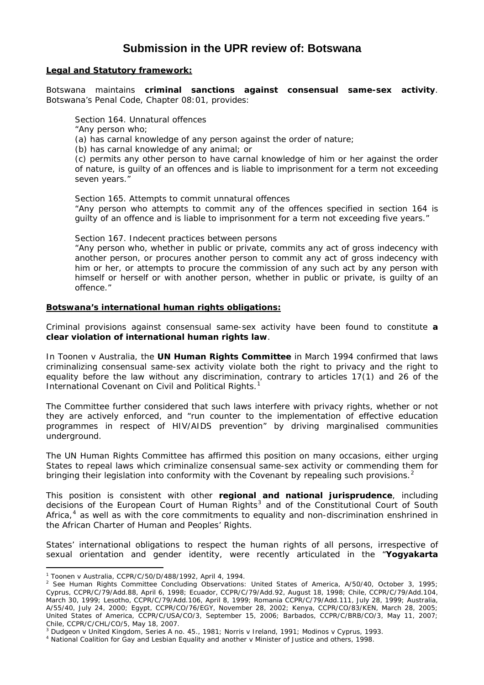# **Submission in the UPR review of: Botswana**

#### **Legal and Statutory framework:**

Botswana maintains **criminal sanctions against consensual same-sex activity**. Botswana's *Penal Code, Chapter 08:01*, provides:

Section 164. Unnatural offences

"Any person who;

(a) has carnal knowledge of any person against the order of nature;

(b) has carnal knowledge of any animal; or

(c) permits any other person to have carnal knowledge of him or her against the order of nature, is guilty of an offences and is liable to imprisonment for a term not exceeding seven years."

Section 165. Attempts to commit unnatural offences "Any person who attempts to commit any of the offences specified in section 164 is guilty of an offence and is liable to imprisonment for a term not exceeding five years."

Section 167. Indecent practices between persons

"Any person who, whether in public or private, commits any act of gross indecency with another person, or procures another person to commit any act of gross indecency with him or her, or attempts to procure the commission of any such act by any person with himself or herself or with another person, whether in public or private, is guilty of an offence."

# **Botswana's international human rights obligations:**

Criminal provisions against consensual same-sex activity have been found to constitute **a clear violation of international human rights law**.

In *Toonen v Australia*, the **UN Human Rights Committee** in March 1994 confirmed that laws criminalizing consensual same-sex activity violate both the right to privacy and the right to equality before the law without any discrimination, contrary to articles 17(1) and 26 of the International Covenant on Civil and Political Rights.<sup>[1](#page-0-0)</sup>

The Committee further considered that such laws interfere with privacy rights, whether or not they are actively enforced, and "run counter to the implementation of effective education programmes in respect of HIV/AIDS prevention" by driving marginalised communities underground.

The UN Human Rights Committee has affirmed this position on many occasions, either urging States to repeal laws which criminalize consensual same-sex activity or commending them for bringing their legislation into conformity with the Covenant by repealing such provisions.<sup>[2](#page-0-1)</sup>

This position is consistent with other **regional and national jurisprudence**, including decisions of the European Court of Human Rights<sup>[3](#page-0-2)</sup> and of the Constitutional Court of South Africa, $4$  as well as with the core commitments to equality and non-discrimination enshrined in the *African Charter of Human and Peoples' Rights*.

States' international obligations to respect the human rights of all persons, irrespective of sexual orientation and gender identity, were recently articulated in the "*Yogyakarta* 

 $\overline{a}$ 

<span id="page-0-0"></span><sup>1</sup> *Toonen* v *Australia*, CCPR/C/50/D/488/1992, April 4, 1994. 2

<span id="page-0-1"></span><sup>&</sup>lt;sup>2</sup> See Human Rights Committee Concluding Observations: United States of America, A/50/40, October 3, 1995; Cyprus, CCPR/C/79/Add.88, April 6, 1998; Ecuador, CCPR/C/79/Add.92, August 18, 1998; Chile, CCPR/C/79/Add.104, March 30, 1999; Lesotho, CCPR/C/79/Add.106, April 8, 1999; Romania CCPR/C/79/Add.111, July 28, 1999; Australia, A/55/40, July 24, 2000; Egypt, CCPR/CO/76/EGY, November 28, 2002; Kenya, CCPR/CO/83/KEN, March 28, 2005; United States of America, CCPR/C/USA/CO/3, September 15, 2006; Barbados, CCPR/C/BRB/CO/3, May 11, 2007; Chile, CCPR/C/CHL/CO/5, May 18, 2007.

<span id="page-0-3"></span><span id="page-0-2"></span><sup>&</sup>lt;sup>3</sup> Dudgeon v United Kingdom, Series A no. 45., 1981; Norris v Ireland, 1991; Modinos v Cyprus, 1993.<br><sup>4</sup> National Coalition for Gay and Lesbian Equality and another v Minister of Justice and others, 1998.